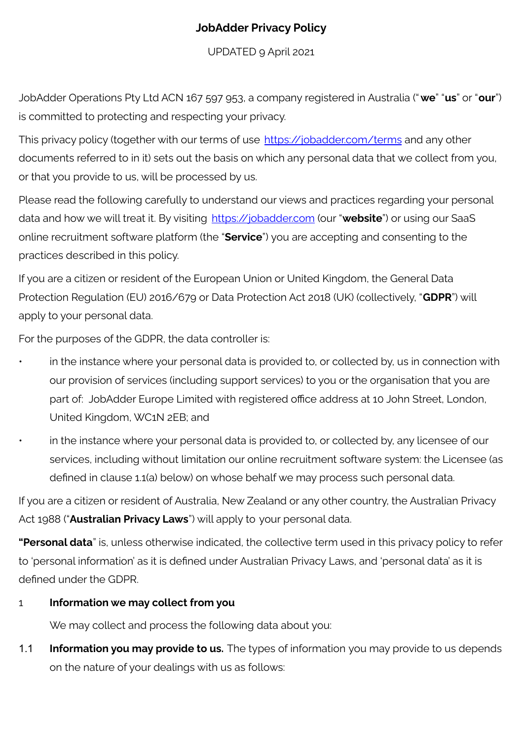## **JobAdder Privacy Policy**

UPDATED 9 April 2021

JobAdder Operations Pty Ltd ACN 167 597 953, a company registered in Australia ("**we**" "**us**" or "**our**") is committed to protecting and respecting your privacy.

This privacy policy (together with our terms of use <https://jobadder.com/terms> and any other documents referred to in it) sets out the basis on which any personal data that we collect from you, or that you provide to us, will be processed by us.

Please read the following carefully to understand our views and practices regarding your personal data and how we will treat it. By visiting <https://jobadder.com> (our "**website**") or using our SaaS online recruitment software platform (the "**Service**") you are accepting and consenting to the practices described in this policy.

If you are a citizen or resident of the European Union or United Kingdom, the General Data Protection Regulation (EU) 2016/679 or Data Protection Act 2018 (UK) (collectively, "**GDPR**") will apply to your personal data.

For the purposes of the GDPR, the data controller is:

- in the instance where your personal data is provided to, or collected by, us in connection with our provision of services (including support services) to you or the organisation that you are part of: JobAdder Europe Limited with registered office address at 10 John Street, London, United Kingdom, WC1N 2EB; and
	- in the instance where your personal data is provided to, or collected by, any licensee of our services, including without limitation our online recruitment software system: the Licensee (as defined in clause 1.1(a) below) on whose behalf we may process such personal data.

If you are a citizen or resident of Australia, New Zealand or any other country, the Australian Privacy Act 1988 ("**Australian Privacy Laws**") will apply to your personal data.

**"Personal data**" is, unless otherwise indicated, the collective term used in this privacy policy to refer to 'personal information' as it is defined under Australian Privacy Laws, and 'personal data' as it is defined under the GDPR.

### 1 **Information we may collect from you**

We may collect and process the following data about you:

1.1 **Information you may provide to us.** The types of information you may provide to us depends on the nature of your dealings with us as follows: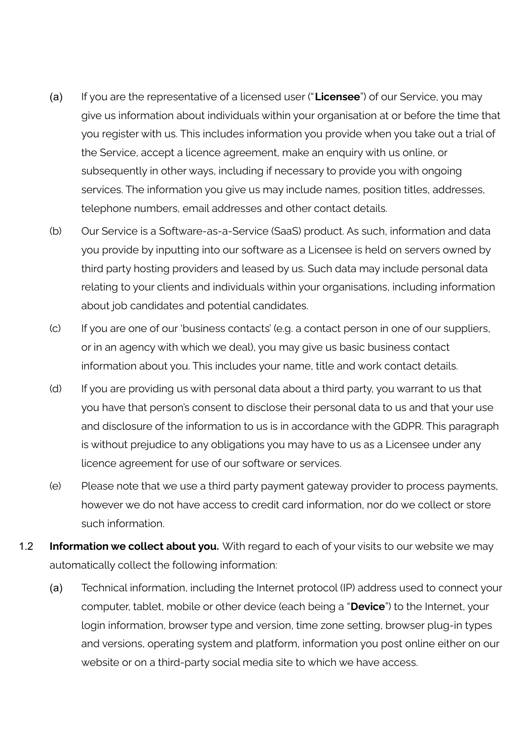- (a) If you are the representative of a licensed user ("**Licensee**") of our Service, you may give us information about individuals within your organisation at or before the time that you register with us. This includes information you provide when you take out a trial of the Service, accept a licence agreement, make an enquiry with us online, or subsequently in other ways, including if necessary to provide you with ongoing services. The information you give us may include names, position titles, addresses, telephone numbers, email addresses and other contact details.
- (b) Our Service is a Software-as-a-Service (SaaS) product. As such, information and data you provide by inputting into our software as a Licensee is held on servers owned by third party hosting providers and leased by us. Such data may include personal data relating to your clients and individuals within your organisations, including information about job candidates and potential candidates.
- (c) If you are one of our 'business contacts' (e.g. a contact person in one of our suppliers, or in an agency with which we deal), you may give us basic business contact information about you. This includes your name, title and work contact details.
- (d) If you are providing us with personal data about a third party, you warrant to us that you have that person's consent to disclose their personal data to us and that your use and disclosure of the information to us is in accordance with the GDPR. This paragraph is without prejudice to any obligations you may have to us as a Licensee under any licence agreement for use of our software or services.
- (e) Please note that we use a third party payment gateway provider to process payments, however we do not have access to credit card information, nor do we collect or store such information.
- 1.2 **Information we collect about you.** With regard to each of your visits to our website we may automatically collect the following information:
	- (a) Technical information, including the Internet protocol (IP) address used to connect your computer, tablet, mobile or other device (each being a "**Device**") to the Internet, your login information, browser type and version, time zone setting, browser plug-in types and versions, operating system and platform, information you post online either on our website or on a third-party social media site to which we have access.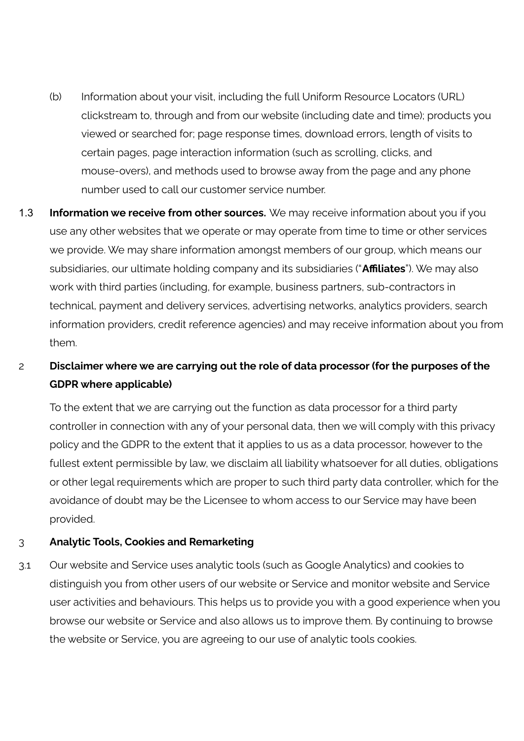- (b) Information about your visit, including the full Uniform Resource Locators (URL) clickstream to, through and from our website (including date and time); products you viewed or searched for; page response times, download errors, length of visits to certain pages, page interaction information (such as scrolling, clicks, and mouse-overs), and methods used to browse away from the page and any phone number used to call our customer service number.
- 1.3 **Information we receive from other sources.** We may receive information about you if you use any other websites that we operate or may operate from time to time or other services we provide. We may share information amongst members of our group, which means our subsidiaries, our ultimate holding company and its subsidiaries ("**Affiliates**"). We may also work with third parties (including, for example, business partners, sub-contractors in technical, payment and delivery services, advertising networks, analytics providers, search information providers, credit reference agencies) and may receive information about you from them.

## 2 **Disclaimer where we are carrying out the role of data processor (for the purposes of the GDPR where applicable)**

To the extent that we are carrying out the function as data processor for a third party controller in connection with any of your personal data, then we will comply with this privacy policy and the GDPR to the extent that it applies to us as a data processor, however to the fullest extent permissible by law, we disclaim all liability whatsoever for all duties, obligations or other legal requirements which are proper to such third party data controller, which for the avoidance of doubt may be the Licensee to whom access to our Service may have been provided.

### 3 **Analytic Tools, Cookies and Remarketing**

3.1 Our website and Service uses analytic tools (such as Google Analytics) and cookies to distinguish you from other users of our website or Service and monitor website and Service user activities and behaviours. This helps us to provide you with a good experience when you browse our website or Service and also allows us to improve them. By continuing to browse the website or Service, you are agreeing to our use of analytic tools cookies.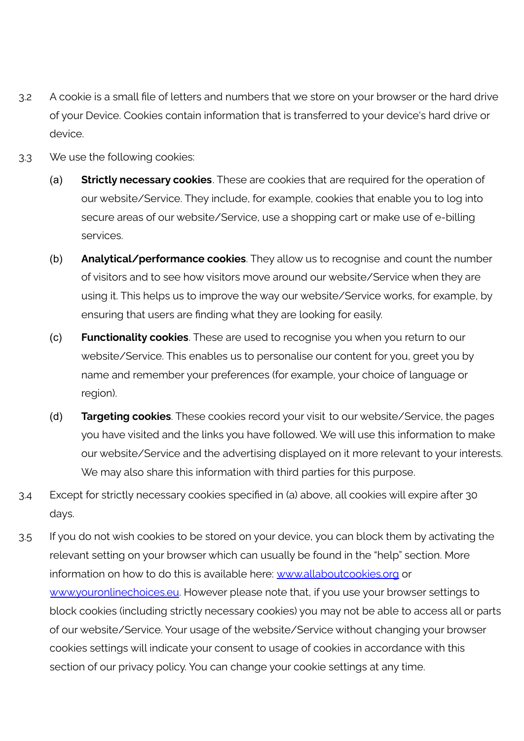- 3.2 A cookie is a small file of letters and numbers that we store on your browser or the hard drive of your Device. Cookies contain information that is transferred to your device's hard drive or device.
- 3.3 We use the following cookies:
	- (a) **Strictly necessary cookies**. These are cookies that are required for the operation of our website/Service. They include, for example, cookies that enable you to log into secure areas of our website/Service, use a shopping cart or make use of e-billing services.
	- (b) **Analytical/performance cookies**. They allow us to recognise and count the number of visitors and to see how visitors move around our website/Service when they are using it. This helps us to improve the way our website/Service works, for example, by ensuring that users are finding what they are looking for easily.
	- (c) **Functionality cookies**. These are used to recognise you when you return to our website/Service. This enables us to personalise our content for you, greet you by name and remember your preferences (for example, your choice of language or region).
	- (d) **Targeting cookies**. These cookies record your visit to our website/Service, the pages you have visited and the links you have followed. We will use this information to make our website/Service and the advertising displayed on it more relevant to your interests. We may also share this information with third parties for this purpose.
- 3.4 Except for strictly necessary cookies specified in (a) above, all cookies will expire after 30 days.
- 3.5 If you do not wish cookies to be stored on your device, you can block them by activating the relevant setting on your browser which can usually be found in the "help" section. More information on how to do this is available here: [www.allaboutcookies.org](http://www.allaboutcookies.org) or [www.youronlinechoices.eu.](http://www.youronlinechoices.eu) However please note that, if you use your browser settings to block cookies (including strictly necessary cookies) you may not be able to access all or parts of our website/Service. Your usage of the website/Service without changing your browser cookies settings will indicate your consent to usage of cookies in accordance with this section of our privacy policy. You can change your cookie settings at any time.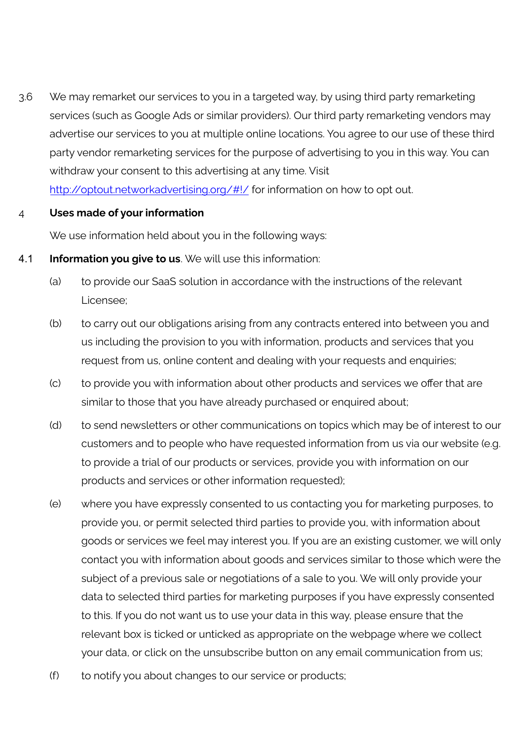3.6 We may remarket our services to you in a targeted way, by using third party remarketing services (such as Google Ads or similar providers). Our third party remarketing vendors may advertise our services to you at multiple online locations. You agree to our use of these third party vendor remarketing services for the purpose of advertising to you in this way. You can withdraw your consent to this advertising at any time. Visit <http://optout.networkadvertising.org/#!/> for information on how to opt out.

#### 4 **Uses made of your information**

We use information held about you in the following ways:

- 4.1 **Information you give to us**. We will use this information:
	- (a) to provide our SaaS solution in accordance with the instructions of the relevant Licensee;
	- (b) to carry out our obligations arising from any contracts entered into between you and us including the provision to you with information, products and services that you request from us, online content and dealing with your requests and enquiries;
	- (c) to provide you with information about other products and services we offer that are similar to those that you have already purchased or enquired about;
	- (d) to send newsletters or other communications on topics which may be of interest to our customers and to people who have requested information from us via our website (e.g. to provide a trial of our products or services, provide you with information on our products and services or other information requested);
	- (e) where you have expressly consented to us contacting you for marketing purposes, to provide you, or permit selected third parties to provide you, with information about goods or services we feel may interest you. If you are an existing customer, we will only contact you with information about goods and services similar to those which were the subject of a previous sale or negotiations of a sale to you. We will only provide your data to selected third parties for marketing purposes if you have expressly consented to this. If you do not want us to use your data in this way, please ensure that the relevant box is ticked or unticked as appropriate on the webpage where we collect your data, or click on the unsubscribe button on any email communication from us;
	- (f) to notify you about changes to our service or products;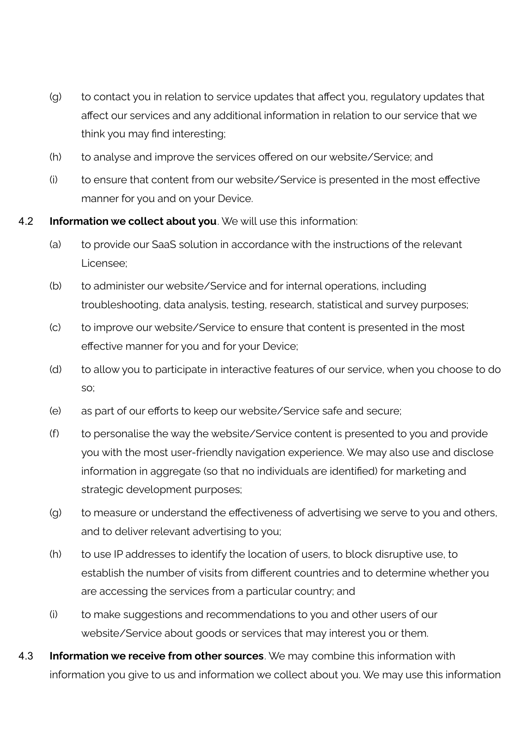- (g) to contact you in relation to service updates that affect you, regulatory updates that affect our services and any additional information in relation to our service that we think you may find interesting;
- (h) to analyse and improve the services offered on our website/Service; and
- (i) to ensure that content from our website/Service is presented in the most effective manner for you and on your Device.
- 4.2 **Information we collect about you**. We will use this information:
	- (a) to provide our SaaS solution in accordance with the instructions of the relevant Licensee;
	- (b) to administer our website/Service and for internal operations, including troubleshooting, data analysis, testing, research, statistical and survey purposes;
	- (c) to improve our website/Service to ensure that content is presented in the most effective manner for you and for your Device;
	- (d) to allow you to participate in interactive features of our service, when you choose to do so;
	- (e) as part of our efforts to keep our website/Service safe and secure;
	- (f) to personalise the way the website/Service content is presented to you and provide you with the most user-friendly navigation experience. We may also use and disclose information in aggregate (so that no individuals are identified) for marketing and strategic development purposes;
	- (g) to measure or understand the effectiveness of advertising we serve to you and others, and to deliver relevant advertising to you;
	- (h) to use IP addresses to identify the location of users, to block disruptive use, to establish the number of visits from different countries and to determine whether you are accessing the services from a particular country; and
	- (i) to make suggestions and recommendations to you and other users of our website/Service about goods or services that may interest you or them.
- 4.3 **Information we receive from other sources**. We may combine this information with information you give to us and information we collect about you. We may use this information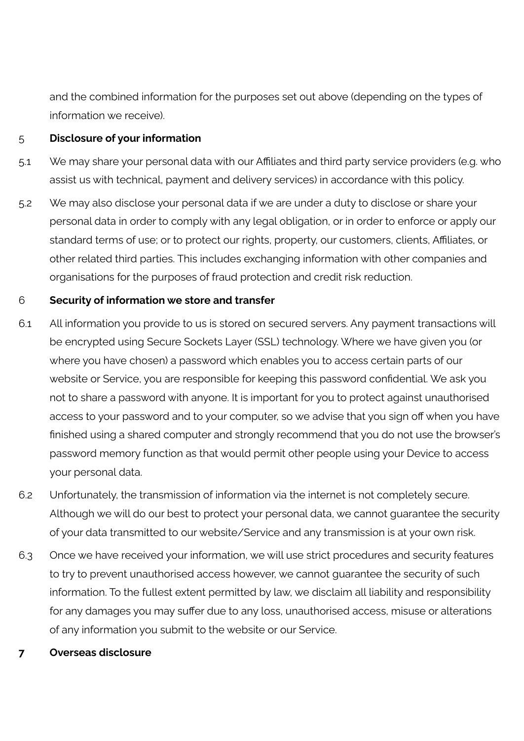and the combined information for the purposes set out above (depending on the types of information we receive).

#### 5 **Disclosure of your information**

- 5.1 We may share your personal data with our Affiliates and third party service providers (e.g. who assist us with technical, payment and delivery services) in accordance with this policy.
- 5.2 We may also disclose your personal data if we are under a duty to disclose or share your personal data in order to comply with any legal obligation, or in order to enforce or apply our standard terms of use; or to protect our rights, property, our customers, clients, Affiliates, or other related third parties. This includes exchanging information with other companies and organisations for the purposes of fraud protection and credit risk reduction.

#### 6 **Security of information we store and transfer**

- 6.1 All information you provide to us is stored on secured servers. Any payment transactions will be encrypted using Secure Sockets Layer (SSL) technology. Where we have given you (or where you have chosen) a password which enables you to access certain parts of our website or Service, you are responsible for keeping this password confidential. We ask you not to share a password with anyone. It is important for you to protect against unauthorised access to your password and to your computer, so we advise that you sign off when you have finished using a shared computer and strongly recommend that you do not use the browser's password memory function as that would permit other people using your Device to access your personal data.
- 6.2 Unfortunately, the transmission of information via the internet is not completely secure. Although we will do our best to protect your personal data, we cannot guarantee the security of your data transmitted to our website/Service and any transmission is at your own risk.
- 6.3 Once we have received your information, we will use strict procedures and security features to try to prevent unauthorised access however, we cannot guarantee the security of such information. To the fullest extent permitted by law, we disclaim all liability and responsibility for any damages you may suffer due to any loss, unauthorised access, misuse or alterations of any information you submit to the website or our Service.

#### **7 Overseas disclosure**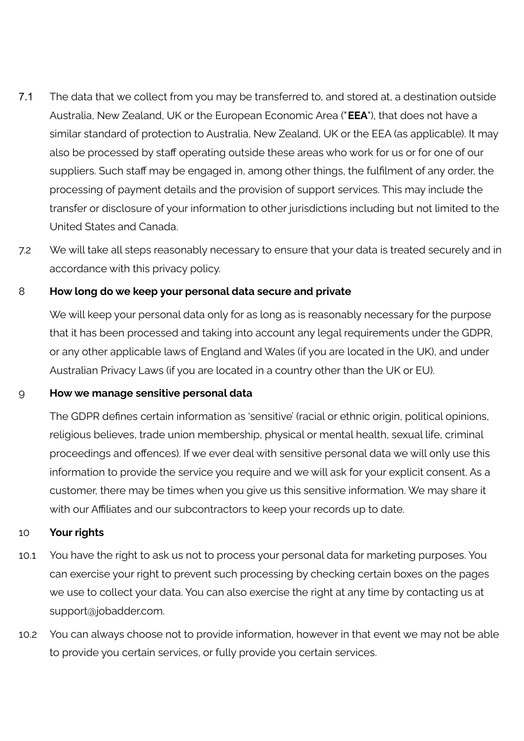- 7.1 The data that we collect from you may be transferred to, and stored at, a destination outside Australia, New Zealand, UK or the European Economic Area ("**EEA**"), that does not have a similar standard of protection to Australia, New Zealand, UK or the EEA (as applicable). It may also be processed by staff operating outside these areas who work for us or for one of our suppliers. Such staff may be engaged in, among other things, the fulfilment of any order, the processing of payment details and the provision of support services. This may include the transfer or disclosure of your information to other jurisdictions including but not limited to the United States and Canada.
- 7.2 We will take all steps reasonably necessary to ensure that your data is treated securely and in accordance with this privacy policy.

### 8 **How long do we keep your personal data secure and private**

We will keep your personal data only for as long as is reasonably necessary for the purpose that it has been processed and taking into account any legal requirements under the GDPR, or any other applicable laws of England and Wales (if you are located in the UK), and under Australian Privacy Laws (if you are located in a country other than the UK or EU).

#### 9 **How we manage sensitive personal data**

The GDPR defines certain information as 'sensitive' (racial or ethnic origin, political opinions, religious believes, trade union membership, physical or mental health, sexual life, criminal proceedings and offences). If we ever deal with sensitive personal data we will only use this information to provide the service you require and we will ask for your explicit consent. As a customer, there may be times when you give us this sensitive information. We may share it with our Affiliates and our subcontractors to keep your records up to date.

#### 10 **Your rights**

- 10.1 You have the right to ask us not to process your personal data for marketing purposes. You can exercise your right to prevent such processing by checking certain boxes on the pages we use to collect your data. You can also exercise the right at any time by contacting us at support@jobadder.com.
- 10.2 You can always choose not to provide information, however in that event we may not be able to provide you certain services, or fully provide you certain services.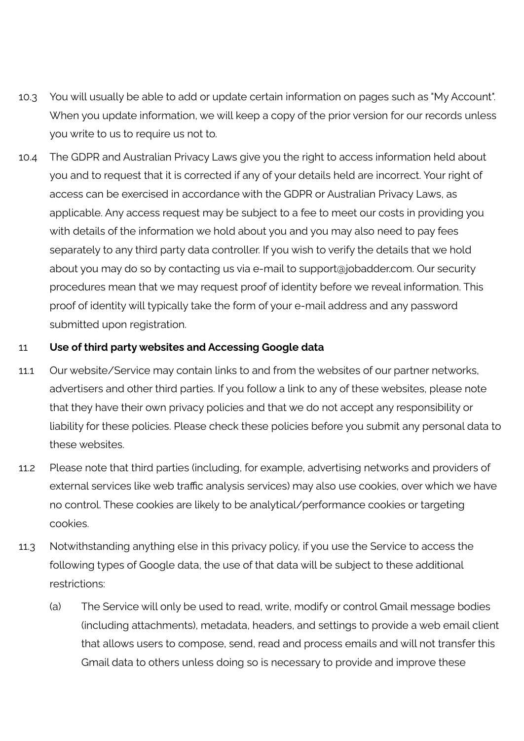- 10.3 You will usually be able to add or update certain information on pages such as "My Account". When you update information, we will keep a copy of the prior version for our records unless you write to us to require us not to.
- 10.4 The GDPR and Australian Privacy Laws give you the right to access information held about you and to request that it is corrected if any of your details held are incorrect. Your right of access can be exercised in accordance with the GDPR or Australian Privacy Laws, as applicable. Any access request may be subject to a fee to meet our costs in providing you with details of the information we hold about you and you may also need to pay fees separately to any third party data controller. If you wish to verify the details that we hold about you may do so by contacting us via e-mail to support@jobadder.com. Our security procedures mean that we may request proof of identity before we reveal information. This proof of identity will typically take the form of your e-mail address and any password submitted upon registration.

#### 11 **Use of third party websites and Accessing Google data**

- 11.1 Our website/Service may contain links to and from the websites of our partner networks, advertisers and other third parties. If you follow a link to any of these websites, please note that they have their own privacy policies and that we do not accept any responsibility or liability for these policies. Please check these policies before you submit any personal data to these websites.
- 11.2 Please note that third parties (including, for example, advertising networks and providers of external services like web traffic analysis services) may also use cookies, over which we have no control. These cookies are likely to be analytical/performance cookies or targeting cookies.
- 11.3 Notwithstanding anything else in this privacy policy, if you use the Service to access the following types of Google data, the use of that data will be subject to these additional restrictions:
	- (a) The Service will only be used to read, write, modify or control Gmail message bodies (including attachments), metadata, headers, and settings to provide a web email client that allows users to compose, send, read and process emails and will not transfer this Gmail data to others unless doing so is necessary to provide and improve these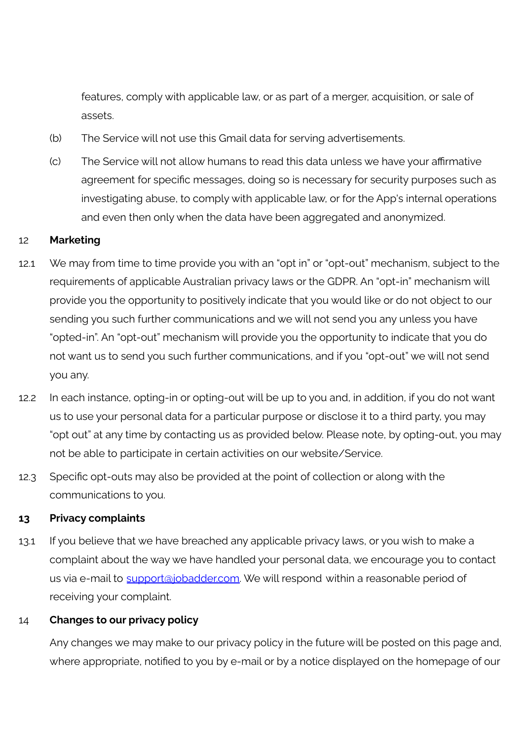features, comply with applicable law, or as part of a merger, acquisition, or sale of assets.

- (b) The Service will not use this Gmail data for serving advertisements.
- (c) The Service will not allow humans to read this data unless we have your affirmative agreement for specific messages, doing so is necessary for security purposes such as investigating abuse, to comply with applicable law, or for the App's internal operations and even then only when the data have been aggregated and anonymized.

#### 12 **Marketing**

- 12.1 We may from time to time provide you with an "opt in" or "opt-out" mechanism, subject to the requirements of applicable Australian privacy laws or the GDPR. An "opt-in" mechanism will provide you the opportunity to positively indicate that you would like or do not object to our sending you such further communications and we will not send you any unless you have "opted-in". An "opt-out" mechanism will provide you the opportunity to indicate that you do not want us to send you such further communications, and if you "opt-out" we will not send you any.
- 12.2 In each instance, opting-in or opting-out will be up to you and, in addition, if you do not want us to use your personal data for a particular purpose or disclose it to a third party, you may "opt out" at any time by contacting us as provided below. Please note, by opting-out, you may not be able to participate in certain activities on our website/Service.
- 12.3 Specific opt-outs may also be provided at the point of collection or along with the communications to you.

#### **13 Privacy complaints**

13.1 If you believe that we have breached any applicable privacy laws, or you wish to make a complaint about the way we have handled your personal data, we encourage you to contact us via e-mail to [support@jobadder.com.](mailto:support@jobadder.com) We will respond within a reasonable period of receiving your complaint.

#### 14 **Changes to our privacy policy**

Any changes we may make to our privacy policy in the future will be posted on this page and, where appropriate, notified to you by e-mail or by a notice displayed on the homepage of our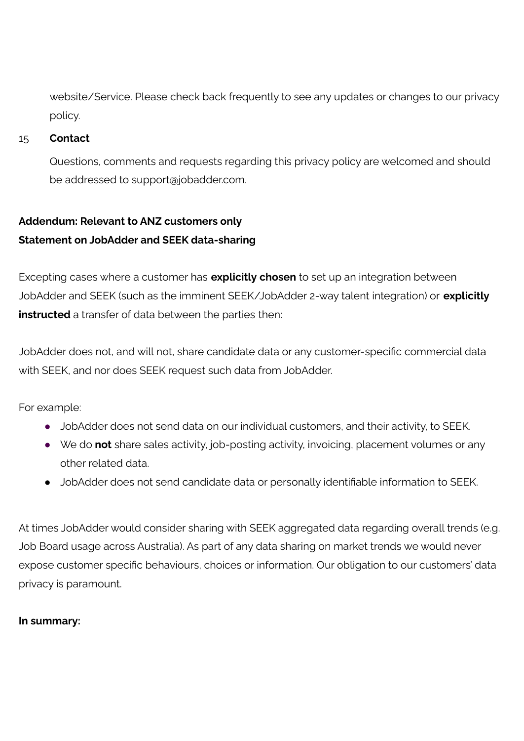website/Service. Please check back frequently to see any updates or changes to our privacy policy.

#### 15 **Contact**

Questions, comments and requests regarding this privacy policy are welcomed and should be addressed to support@jobadder.com.

# **Addendum: Relevant to ANZ customers only Statement on JobAdder and SEEK data-sharing**

Excepting cases where a customer has **explicitly chosen** to set up an integration between JobAdder and SEEK (such as the imminent SEEK/JobAdder 2-way talent integration) or **explicitly instructed** a transfer of data between the parties then:

JobAdder does not, and will not, share candidate data or any customer-specific commercial data with SEEK, and nor does SEEK request such data from JobAdder.

For example:

- JobAdder does not send data on our individual customers, and their activity, to SEEK.
- We do **not** share sales activity, job-posting activity, invoicing, placement volumes or any other related data.
- JobAdder does not send candidate data or personally identifiable information to SEEK.

At times JobAdder would consider sharing with SEEK aggregated data regarding overall trends (e.g. Job Board usage across Australia). As part of any data sharing on market trends we would never expose customer specific behaviours, choices or information. Our obligation to our customers' data privacy is paramount.

#### **In summary:**